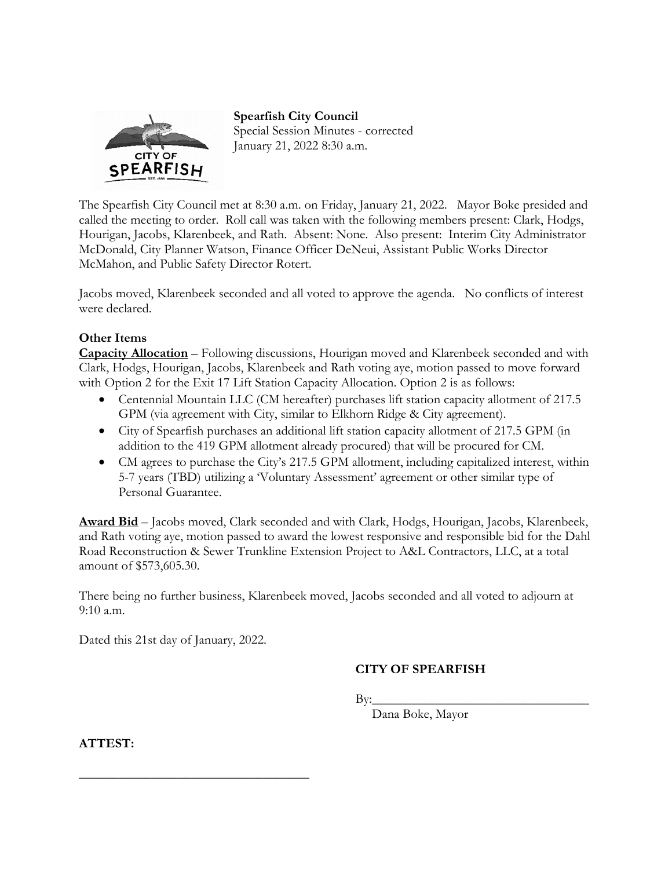

**Spearfish City Council**  Special Session Minutes - corrected January 21, 2022 8:30 a.m.

The Spearfish City Council met at 8:30 a.m. on Friday, January 21, 2022. Mayor Boke presided and called the meeting to order. Roll call was taken with the following members present: Clark, Hodgs, Hourigan, Jacobs, Klarenbeek, and Rath. Absent: None. Also present: Interim City Administrator McDonald, City Planner Watson, Finance Officer DeNeui, Assistant Public Works Director McMahon, and Public Safety Director Rotert.

Jacobs moved, Klarenbeek seconded and all voted to approve the agenda. No conflicts of interest were declared.

## **Other Items**

**Capacity Allocation** – Following discussions, Hourigan moved and Klarenbeek seconded and with Clark, Hodgs, Hourigan, Jacobs, Klarenbeek and Rath voting aye, motion passed to move forward with Option 2 for the Exit 17 Lift Station Capacity Allocation. Option 2 is as follows:

- Centennial Mountain LLC (CM hereafter) purchases lift station capacity allotment of 217.5 GPM (via agreement with City, similar to Elkhorn Ridge & City agreement).
- City of Spearfish purchases an additional lift station capacity allotment of 217.5 GPM (in addition to the 419 GPM allotment already procured) that will be procured for CM.
- CM agrees to purchase the City's 217.5 GPM allotment, including capitalized interest, within 5-7 years (TBD) utilizing a 'Voluntary Assessment' agreement or other similar type of Personal Guarantee.

**Award Bid** – Jacobs moved, Clark seconded and with Clark, Hodgs, Hourigan, Jacobs, Klarenbeek, and Rath voting aye, motion passed to award the lowest responsive and responsible bid for the Dahl Road Reconstruction & Sewer Trunkline Extension Project to A&L Contractors, LLC, at a total amount of \$573,605.30.

There being no further business, Klarenbeek moved, Jacobs seconded and all voted to adjourn at 9:10 a.m.

Dated this 21st day of January, 2022.

\_\_\_\_\_\_\_\_\_\_\_\_\_\_\_\_\_\_\_\_\_\_\_\_\_\_\_\_\_\_\_\_\_\_\_

## **CITY OF SPEARFISH**

 $\rm\,By:$ 

Dana Boke, Mayor

**ATTEST:**